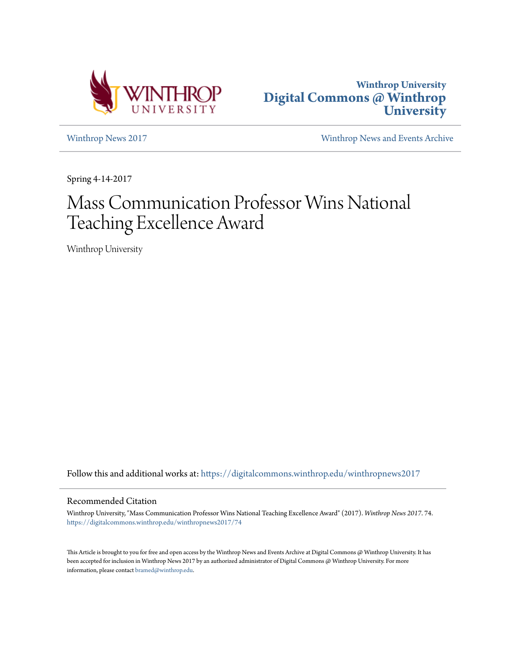



[Winthrop News 2017](https://digitalcommons.winthrop.edu/winthropnews2017?utm_source=digitalcommons.winthrop.edu%2Fwinthropnews2017%2F74&utm_medium=PDF&utm_campaign=PDFCoverPages) [Winthrop News and Events Archive](https://digitalcommons.winthrop.edu/winthropnewsarchives?utm_source=digitalcommons.winthrop.edu%2Fwinthropnews2017%2F74&utm_medium=PDF&utm_campaign=PDFCoverPages)

Spring 4-14-2017

# Mass Communication Professor Wins National Teaching Excellence Award

Winthrop University

Follow this and additional works at: [https://digitalcommons.winthrop.edu/winthropnews2017](https://digitalcommons.winthrop.edu/winthropnews2017?utm_source=digitalcommons.winthrop.edu%2Fwinthropnews2017%2F74&utm_medium=PDF&utm_campaign=PDFCoverPages)

# Recommended Citation

Winthrop University, "Mass Communication Professor Wins National Teaching Excellence Award" (2017). *Winthrop News 2017*. 74. [https://digitalcommons.winthrop.edu/winthropnews2017/74](https://digitalcommons.winthrop.edu/winthropnews2017/74?utm_source=digitalcommons.winthrop.edu%2Fwinthropnews2017%2F74&utm_medium=PDF&utm_campaign=PDFCoverPages)

This Article is brought to you for free and open access by the Winthrop News and Events Archive at Digital Commons @ Winthrop University. It has been accepted for inclusion in Winthrop News 2017 by an authorized administrator of Digital Commons @ Winthrop University. For more information, please contact [bramed@winthrop.edu](mailto:bramed@winthrop.edu).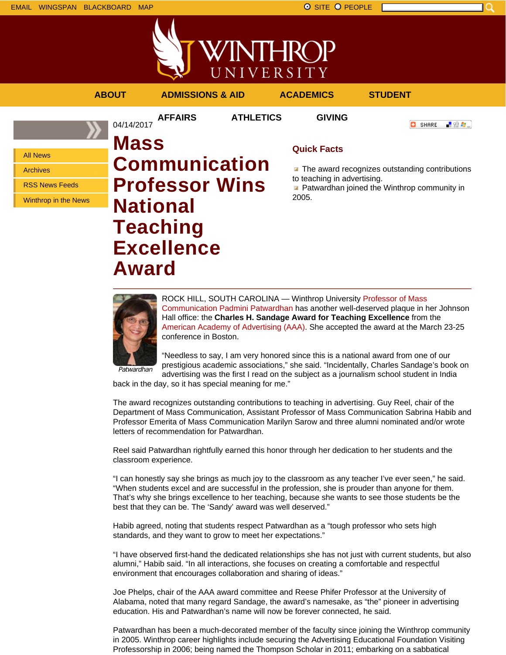



# **ABOUT ADMISSIONS & AID ACADEMICS STUDENT**

04/14/2017

**AFFAIRS ATHLETICS GIVING**

**O** SHARE 上没有。

All News

Archives

RSS News Feeds

Winthrop in the News

# **Mass Communication Professor Wins National Teaching Excellence Award**

# **Quick Facts**

**The award recognizes outstanding contributions** to teaching in advertising.

**Patwardhan joined the Winthrop community in** 2005.



ROCK HILL, SOUTH CAROLINA — Winthrop University Professor of Mass Communication Padmini Patwardhan has another well-deserved plaque in her Johnson Hall office: the **Charles H. Sandage Award for Teaching Excellence** from the American Academy of Advertising (AAA). She accepted the award at the March 23-25 conference in Boston.

Patwardhan

"Needless to say, I am very honored since this is a national award from one of our prestigious academic associations," she said. "Incidentally, Charles Sandage's book on advertising was the first I read on the subject as a journalism school student in India

back in the day, so it has special meaning for me."

The award recognizes outstanding contributions to teaching in advertising. Guy Reel, chair of the Department of Mass Communication, Assistant Professor of Mass Communication Sabrina Habib and Professor Emerita of Mass Communication Marilyn Sarow and three alumni nominated and/or wrote letters of recommendation for Patwardhan.

Reel said Patwardhan rightfully earned this honor through her dedication to her students and the classroom experience.

"I can honestly say she brings as much joy to the classroom as any teacher I've ever seen," he said. "When students excel and are successful in the profession, she is prouder than anyone for them. That's why she brings excellence to her teaching, because she wants to see those students be the best that they can be. The 'Sandy' award was well deserved."

Habib agreed, noting that students respect Patwardhan as a "tough professor who sets high standards, and they want to grow to meet her expectations."

"I have observed first-hand the dedicated relationships she has not just with current students, but also alumni," Habib said. "In all interactions, she focuses on creating a comfortable and respectful environment that encourages collaboration and sharing of ideas."

Joe Phelps, chair of the AAA award committee and Reese Phifer Professor at the University of Alabama, noted that many regard Sandage, the award's namesake, as "the" pioneer in advertising education. His and Patwardhan's name will now be forever connected, he said.

Patwardhan has been a much-decorated member of the faculty since joining the Winthrop community in 2005. Winthrop career highlights include securing the Advertising Educational Foundation Visiting Professorship in 2006; being named the Thompson Scholar in 2011; embarking on a sabbatical